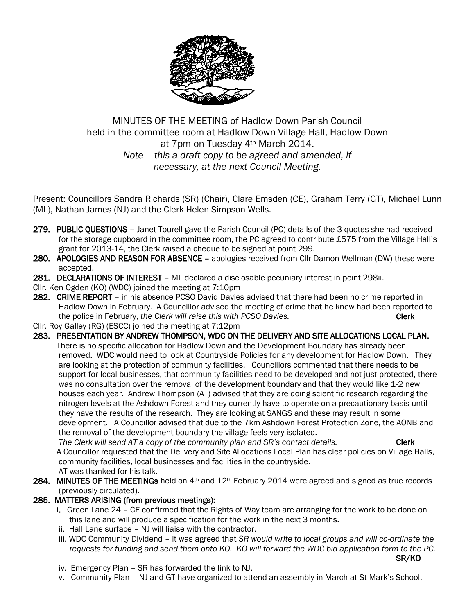

# MINUTES OF THE MEETING of Hadlow Down Parish Council held in the committee room at Hadlow Down Village Hall, Hadlow Down at 7pm on Tuesday 4th March 2014. *Note – this a draft copy to be agreed and amended, if necessary, at the next Council Meeting.*

Present: Councillors Sandra Richards (SR) (Chair), Clare Emsden (CE), Graham Terry (GT), Michael Lunn (ML), Nathan James (NJ) and the Clerk Helen Simpson-Wells.

- 279. PUBLIC QUESTIONS Janet Tourell gave the Parish Council (PC) details of the 3 quotes she had received for the storage cupboard in the committee room, the PC agreed to contribute £575 from the Village Hall's grant for 2013-14, the Clerk raised a cheque to be signed at point 299.
- 280. APOLOGIES AND REASON FOR ABSENCE apologies received from Cllr Damon Wellman (DW) these were accepted.
- 281. DECLARATIONS OF INTEREST ML declared a disclosable pecuniary interest in point 298ii.
- Cllr. Ken Ogden (KO) (WDC) joined the meeting at 7:10pm
- 282. CRIME REPORT in his absence PCSO David Davies advised that there had been no crime reported in Hadlow Down in February. A Councillor advised the meeting of crime that he knew had been reported to the police in February, *the Clerk will raise this with PCSO Davies.* The contract the set of the Clerk
- Cllr. Roy Galley (RG) (ESCC) joined the meeting at 7:12pm
- 283. PRESENTATION BY ANDREW THOMPSON, WDC ON THE DELIVERY AND SITE ALLOCATIONS LOCAL PLAN. There is no specific allocation for Hadlow Down and the Development Boundary has already been removed. WDC would need to look at Countryside Policies for any development for Hadlow Down. They are looking at the protection of community facilities. Councillors commented that there needs to be support for local businesses, that community facilities need to be developed and not just protected, there was no consultation over the removal of the development boundary and that they would like 1-2 new houses each year. Andrew Thompson (AT) advised that they are doing scientific research regarding the nitrogen levels at the Ashdown Forest and they currently have to operate on a precautionary basis until they have the results of the research. They are looking at SANGS and these may result in some development. A Councillor advised that due to the 7km Ashdown Forest Protection Zone, the AONB and the removal of the development boundary the village feels very isolated.

*The Clerk will send AT a copy of the community plan and SR's contact details.* Clerk A Councillor requested that the Delivery and Site Allocations Local Plan has clear policies on Village Halls, community facilities, local businesses and facilities in the countryside. AT was thanked for his talk.

284. MINUTES OF THE MEETINGs held on  $4<sup>th</sup>$  and  $12<sup>th</sup>$  February 2014 were agreed and signed as true records (previously circulated).

# 285. MATTERS ARISING (from previous meetings):

- i. Green Lane 24 CE confirmed that the Rights of Way team are arranging for the work to be done on this lane and will produce a specification for the work in the next 3 months.
- ii. Hall Lane surface NJ will liaise with the contractor.
- iii. WDC Community Dividend it was agreed that *SR would write to local groups and will co-ordinate the requests for funding and send them onto KO. KO will forward the WDC bid application form to the PC.*

SR/KO

- iv. Emergency Plan SR has forwarded the link to NJ.
- v. Community Plan NJ and GT have organized to attend an assembly in March at St Mark's School.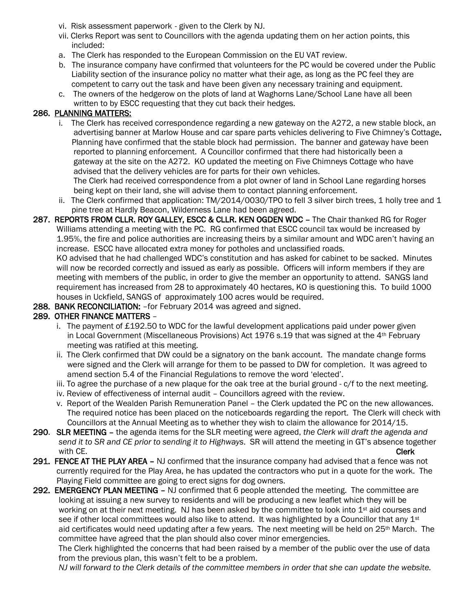- vi. Risk assessment paperwork given to the Clerk by NJ.
- vii. Clerks Report was sent to Councillors with the agenda updating them on her action points, this included:
- a. The Clerk has responded to the European Commission on the EU VAT review.
- b. The insurance company have confirmed that volunteers for the PC would be covered under the Public Liability section of the insurance policy no matter what their age, as long as the PC feel they are competent to carry out the task and have been given any necessary training and equipment.
- c. The owners of the hedgerow on the plots of land at Waghorns Lane/School Lane have all been written to by ESCC requesting that they cut back their hedges.

#### 286. PLANNING MATTERS:

 i. The Clerk has received correspondence regarding a new gateway on the A272, a new stable block, an advertising banner at Marlow House and car spare parts vehicles delivering to Five Chimney's Cottage. Planning have confirmed that the stable block had permission. The banner and gateway have been reported to planning enforcement. A Councillor confirmed that there had historically been a gateway at the site on the A272. KO updated the meeting on Five Chimneys Cottage who have advised that the delivery vehicles are for parts for their own vehicles. The Clerk had received correspondence from a plot owner of land in School Lane regarding horses

being kept on their land, she will advise them to contact planning enforcement.

- ii. The Clerk confirmed that application: TM/2014/0030/TPO to fell 3 silver birch trees, 1 holly tree and 1 pine tree at Hardly Beacon, Wilderness Lane had been agreed.
- 287. REPORTS FROM CLLR. ROY GALLEY, ESCC & CLLR. KEN OGDEN WDC The Chair thanked RG for Roger Williams attending a meeting with the PC. RG confirmed that ESCC council tax would be increased by 1.95%, the fire and police authorities are increasing theirs by a similar amount and WDC aren't having an increase. ESCC have allocated extra money for potholes and unclassified roads.

 KO advised that he had challenged WDC's constitution and has asked for cabinet to be sacked. Minutes will now be recorded correctly and issued as early as possible. Officers will inform members if they are meeting with members of the public, in order to give the member an opportunity to attend. SANGS land requirement has increased from 28 to approximately 40 hectares, KO is questioning this. To build 1000 houses in Uckfield, SANGS of approximately 100 acres would be required.

288. BANK RECONCILIATION: - for February 2014 was agreed and signed.

# 289. OTHER FINANCE MATTERS –

- i. The payment of £192.50 to WDC for the lawful development applications paid under power given in Local Government (Miscellaneous Provisions) Act 1976 s.19 that was signed at the 4<sup>th</sup> February meeting was ratified at this meeting.
- ii. The Clerk confirmed that DW could be a signatory on the bank account. The mandate change forms were signed and the Clerk will arrange for them to be passed to DW for completion. It was agreed to amend section 5.4 of the Financial Regulations to remove the word 'elected'.
- iii. To agree the purchase of a new plaque for the oak tree at the burial ground c/f to the next meeting.
- iv. Review of effectiveness of internal audit Councillors agreed with the review.
- v. Report of the Wealden Parish Remuneration Panel the Clerk updated the PC on the new allowances. The required notice has been placed on the noticeboards regarding the report. The Clerk will check with Councillors at the Annual Meeting as to whether they wish to claim the allowance for 2014/15.
- 290. SLR MEETING the agenda items for the SLR meeting were agreed, *the Clerk will draft the agenda and send it to SR and CE prior to sending it to Highways*. SR will attend the meeting in GT's absence together with CE. **Clerk**
- 291. FENCE AT THE PLAY AREA NJ confirmed that the insurance company had advised that a fence was not currently required for the Play Area, he has updated the contractors who put in a quote for the work. The Playing Field committee are going to erect signs for dog owners.
- 292. EMERGENCY PLAN MEETING NJ confirmed that 6 people attended the meeting. The committee are looking at issuing a new survey to residents and will be producing a new leaflet which they will be working on at their next meeting. NJ has been asked by the committee to look into  $1<sup>st</sup>$  aid courses and see if other local committees would also like to attend. It was highlighted by a Councillor that any 1<sup>st</sup> aid certificates would need updating after a few years. The next meeting will be held on 25th March. The committee have agreed that the plan should also cover minor emergencies.

 The Clerk highlighted the concerns that had been raised by a member of the public over the use of data from the previous plan, this wasn't felt to be a problem.

*NJ will forward to the Clerk details of the committee members in order that she can update the website.*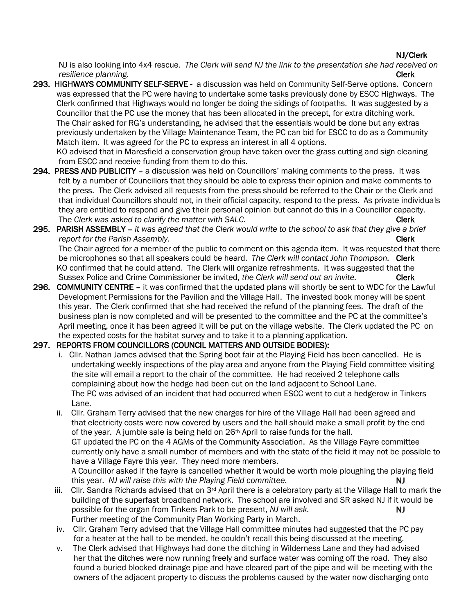#### NJ/Clerk

NJ is also looking into 4x4 rescue. *The Clerk will send NJ the link to the presentation she had received on resilience planning.* Clerk

293. HIGHWAYS COMMUNITY SELF-SERVE - a discussion was held on Community Self-Serve options. Concern was expressed that the PC were having to undertake some tasks previously done by ESCC Highways. The Clerk confirmed that Highways would no longer be doing the sidings of footpaths. It was suggested by a Councillor that the PC use the money that has been allocated in the precept, for extra ditching work. The Chair asked for RG's understanding, he advised that the essentials would be done but any extras previously undertaken by the Village Maintenance Team, the PC can bid for ESCC to do as a Community Match item. It was agreed for the PC to express an interest in all 4 options.

 KO advised that in Maresfield a conservation group have taken over the grass cutting and sign cleaning from ESCC and receive funding from them to do this.

- 294. PRESS AND PUBLICITY a discussion was held on Councillors' making comments to the press. It was felt by a number of Councillors that they should be able to express their opinion and make comments to the press. The Clerk advised all requests from the press should be referred to the Chair or the Clerk and that individual Councillors should not, in their official capacity, respond to the press. As private individuals they are entitled to respond and give their personal opinion but cannot do this in a Councillor capacity. The *Clerk* was asked to clarify the matter with SALC. The clerk clerk
- 295. PARISH ASSEMBLY *it was agreed that the Clerk would write to the school to ask that they give a brief report for the Parish Assembly. report for the Parish Assembly.*  The Chair agreed for a member of the public to comment on this agenda item. It was requested that there be microphones so that all speakers could be heard. *The Clerk will contact John Thompson.* Clerk KO confirmed that he could attend. The Clerk will organize refreshments. It was suggested that the Sussex Police and Crime Commissioner be invited, *the Clerk will send out an invite.* Clerk
- 296. COMMUNITY CENTRE it was confirmed that the updated plans will shortly be sent to WDC for the Lawful Development Permissions for the Pavilion and the Village Hall. The invested book money will be spent this year. The Clerk confirmed that she had received the refund of the planning fees. The draft of the business plan is now completed and will be presented to the committee and the PC at the committee's April meeting, once it has been agreed it will be put on the village website. The Clerk updated the PC on the expected costs for the habitat survey and to take it to a planning application.

#### 297. REPORTS FROM COUNCILLORS (COUNCIL MATTERS AND OUTSIDE BODIES):

- i. Cllr. Nathan James advised that the Spring boot fair at the Playing Field has been cancelled. He is undertaking weekly inspections of the play area and anyone from the Playing Field committee visiting the site will email a report to the chair of the committee. He had received 2 telephone calls complaining about how the hedge had been cut on the land adjacent to School Lane. The PC was advised of an incident that had occurred when ESCC went to cut a hedgerow in Tinkers Lane.
- ii. Cllr. Graham Terry advised that the new charges for hire of the Village Hall had been agreed and that electricity costs were now covered by users and the hall should make a small profit by the end of the year. A jumble sale is being held on 26th April to raise funds for the hall. GT updated the PC on the 4 AGMs of the Community Association. As the Village Fayre committee currently only have a small number of members and with the state of the field it may not be possible to have a Village Fayre this year. They need more members. A Councillor asked if the fayre is cancelled whether it would be worth mole ploughing the playing field this year. *NJ will raise this with the Playing Field committee.* **NJ NJ**
- iii. Cllr. Sandra Richards advised that on 3<sup>rd</sup> April there is a celebratory party at the Village Hall to mark the building of the superfast broadband network. The school are involved and SR asked NJ if it would be possible for the organ from Tinkers Park to be present, *NJ will ask.* NJ will ask. Further meeting of the Community Plan Working Party in March.
- iv. Cllr. Graham Terry advised that the Village Hall committee minutes had suggested that the PC pay for a heater at the hall to be mended, he couldn't recall this being discussed at the meeting.
- v. The Clerk advised that Highways had done the ditching in Wilderness Lane and they had advised her that the ditches were now running freely and surface water was coming off the road. They also found a buried blocked drainage pipe and have cleared part of the pipe and will be meeting with the owners of the adjacent property to discuss the problems caused by the water now discharging onto